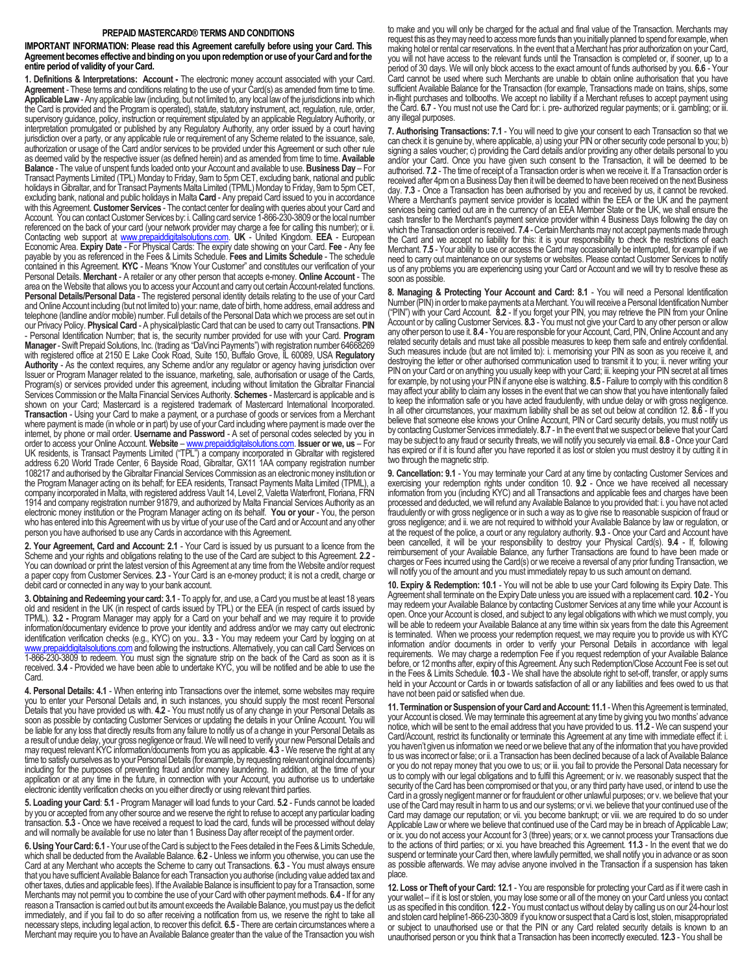## **PREPAID MASTERCARD® TERMS AND CONDITIONS**

**IMPORTANT INFORMATION: Please read this Agreement carefully before using your Card. This Agreement becomes effective and binding on you upon redemption or use of your Card and for the entire period of validity of your Card.**

**1. Definitions & Interpretations: Account -** The electronic money account associated with your Card. **Agreement** - These terms and conditions relating to the use of your Card(s) as amended from time to time. Applicable Law - Any applicable law (including, but not limited to, any local law of the jurisdictions into which the Card is provided and the Program is operated), statute, statutory instrument, act, regulation, rule, order, supervisory guidance, policy, instruction or requirement stipulated by an applicable Regulatory Authority, or interpretation promulgated or published by any Regulatory Authority, any order issued by a court having jurisdiction over a party, or any applicable rule or requirement of any Scheme related to the issuance, sale authorization or usage of the Card and/or services to be provided under this Agreement or such other rule as deemed valid by the respective issuer (as defined herein) and as amended from time to time. **Available Balance** - The value of unspent funds loaded onto your Account and available to use. **Business Day** – For Transact Payments Limited (TPL) Monday to Friday, 9am to 5pm CET, excluding bank, national and public holidays in Gibraltar, and for Transact Payments Malta Limited (TPML) Monday to Friday, 9am to 5pm CET, excluding bank, national and public holidays in Malta **Card** - Any prepaid Card issued to you in accordance with this Agreement. **Customer Services** - The contact center for dealing with queries about your Card and Account. You can contact Customer Services by: i. Calling card service 1-866-230-3809 or the local number referenced on the back of your card (your network provider may charge a fee for calling this number); or ii. Contacting web support at [www.prepaiddigitalsolutions.com.](http://www.prepaiddigitalsolutions.com/) **UK** - United Kingdom. **EEA** - European Economic Area. **Expiry Date** - For Physical Cards: The expiry date showing on your Card. **Fee** - Any fee payable by you as referenced in the Fees & Limits Schedule. **Fees and Limits Schedule** - The schedule contained in this Agreement. **KYC** - Means "Know Your Customer" and constitutes our verification of your Personal Details. **Merchant** - A retailer or any other person that accepts e-money. **Online Account** - The area on the Website that allows you to access your Account and carry out certain Account-related functions. Personal Details/Personal Data - The registered personal identity details relating to the use of your Card and Online Account including (but not limited to) your: name, date of birth, home address, email address and telephone (landline and/or mobile) number. Full details of the Personal Data which we process are set out in our Privacy Policy. **Physical Card** - A physical/plastic Card that can be used to carry out Transactions. **PIN**  - Personal Identification Number; that is, the security number provided for use with your Card. **Program Manager**- Swift Prepaid Solutions, Inc. (trading as "DaVinci Payments") with registration number 64668269 with registered office at 2150 E Lake Cook Road, Suite 150, Buffalo Grove, IL 60089, USA **Regulatory Authority** - As the context requires, any Scheme and/or any regulator or agency having jurisdiction over Issuer or Program Manager related to the issuance, marketing, sale, authorisation or usage of the Cards, Program(s) or services provided under this agreement, including without limitation the Gibraltar Financial Services Commission or the Malta Financial Services Authority. **Schemes** - Mastercard is applicable and is shown on your Card; Mastercard is a registered trademark of Mastercard International Incorporated. **Transaction** - Using your Card to make a payment, or a purchase of goods or services from a Merchant where payment is made (in whole or in part) by use of your Card including where payment is made over the internet, by phone or mail order. **Username and Password** - A set of personal codes selected by you in order to access your Online Account. **Website** – [www.prepaiddigitalsolutions.com.](http://www.prepaiddigitalsolutions.com/) **Issuer or we, us** – For UK residents, is Transact Payments Limited ("TPL") a company incorporated in Gibraltar with registered address 6.20 World Trade Center, 6 Bayside Road, Gibraltar, GX11 1AA company registration number 108217 and authorised by the Gibraltar Financial Services Commission as an electronic money institution or the Program Manager acting on its behalf; for EEA residents, Transact Payments Malta Limited (TPML), a company incorporated in Malta, with registered address Vault 14, Level 2, Valetta Waterfront, Floriana, FRN 1914 and company registration number 91879, and authorized by Malta Financial Services Authority as an electronic money institution or the Program Manager acting on its behalf. **You or your** - You, the person who has entered into this Agreement with us by virtue of your use of the Card and or Account and any other person you have authorised to use any Cards in accordance with this Agreement.

**2. Your Agreement, Card and Account: 2.1** - Your Card is issued by us pursuant to a licence from the Scheme and your rights and obligations relating to the use of the Card are subject to this Agreement. **2.2** - You can download or print the latest version of this Agreement at any time from the Website and/or request a paper copy from Customer Services. **2.3** - Your Card is an e-money product; it is not a credit, charge or debit card or connected in any way to your bank account.

**3. Obtaining and Redeeming your card: 3.1** - To apply for, and use, a Card you must be at least 18 years old and resident in the UK (in respect of cards issued by TPL) or the EEA (in respect of cards issued by TPML). **3.2 -** Program Manager may apply for a Card on your behalf and we may require it to provide information/documentary evidence to prove your identity and address and/or we may carry out electronic identification verification checks (e.g., KYC) on you.. **3.3** - You may redeem your Card by logging on at gitalsolutions.com and following the instructions. Alternatively, you can call Card Services on 1-866-230-3809 to redeem. You must sign the signature strip on the back of the Card as soon as it is received. **3.4** - Provided we have been able to undertake KYC, you will be notified and be able to use the **Card** 

4. Personal Details: 4.1 - When entering into Transactions over the internet, some websites may require you to enter your Personal Details and, in such instances, you should supply the most recent Personal Details that you have provided us with. **4.2** - You must notify us of any change in your Personal Details as soon as possible by contacting Customer Services or updating the details in your Online Account. You will be liable for any loss that directly results from any failure to notify us of a change in your Personal Details as a result of undue delay, your gross negligence or fraud. We will need to verify your new Personal Details and may request relevant KYC information/documents from you as applicable. **4.3** - We reserve the right at any time to satisfy ourselves as to your Personal Details (for example, by requesting relevant original documents) including for the purposes of preventing fraud and/or money laundering. In addition, at the time of your application or at any time in the future, in connection with your Account, you authorise us to undertake electronic identity verification checks on you either directly or using relevant third parties.

**5. Loading your Card**: **5.1** - Program Manager will load funds to your Card. **5.2** - Funds cannot be loaded by you or accepted from any other source and we reserve the right to refuse to accept any particular loading transaction. **5.3** - Once we have received a request to load the card, funds will be processed without delay and will normally be available for use no later than 1 Business Day after receipt of the payment order.

**6.Using Your Card: 6.1** -Your use of the Card is subject to the Fees detailed in the Fees & Limits Schedule, which shall be deducted from the Available Balance. **6.2** -Unless we inform you otherwise, you can use the Card at any Merchant who accepts the Scheme to carry out Transactions. **6.3** - You must always ensure that you have sufficient Available Balance for each Transaction you authorise (including value added tax and other taxes, duties and applicable fees). If the Available Balance is insufficient to pay for a Transaction, some Merchants may not permit you to combine the use of your Card with other payment methods. **6.4** - If for any reason a Transaction is carried out but its amount exceeds the Available Balance, you must pay us the deficit immediately, and if you fail to do so after receiving a notification from us, we reserve the right to take all necessary steps, including legal action, to recover this deficit. **6.5** - There are certain circumstances where a Merchant may require you to have an Available Balance greater than the value of the Transaction you wish

to make and you will only be charged for the actual and final value of the Transaction. Merchants may request this as they may need to access more funds than you initially planned to spend for example, when making hotel or rental car reservations. In the event that a Merchant has prior authorization on your Card, you will not have access to the relevant funds until the Transaction is completed or, if sooner, up to a period of 30 days. We will only block access to the exact amount of funds authorised by you. **6.6** - Your Card cannot be used where such Merchants are unable to obtain online authorisation that you have sufficient Available Balance for the Transaction (for example, Transactions made on trains, ships, some in-flight purchases and tollbooths. We accept no liability if a Merchant refuses to accept payment using the Card. **6.7** - You must not use the Card for: i. pre- authorized regular payments; or ii. gambling; or iii. any illegal purposes.

**7. Authorising Transactions: 7.1** - You will need to give your consent to each Transaction so that we can check it is genuine by, where applicable, a) using your PIN or other security code personal to you; b) signing a sales voucher; c) providing the Card details and/or providing any other details personal to you and/or your Card. Once you have given such consent to the Transaction, it will be deemed to be authorised. **7.2** - The time of receipt of a Transaction order is when we receive it. If a Transaction order is received after 4pm on a Business Day then it will be deemed to have been received on the next Business day. **7.3** - Once a Transaction has been authorised by you and received by us, it cannot be revoked. Where a Merchant's payment service provider is located within the EEA or the UK and the payment services being carried out are in the currency of an EEA Member State or the UK, we shall ensure the cash transfer to the Merchant's payment service provider within 4 Business Days following the day on which the Transaction order is received. **7.4** -Certain Merchants may not accept payments made through the Card and we accept no liability for this: it is your responsibility to check the restrictions of each Merchant. **7.5** - Your ability to use or access the Card may occasionally be interrupted, for example if we need to carry out maintenance on our systems or websites. Please contact Customer Services to notify us of any problems you are experiencing using your Card or Account and we will try to resolve these as soon as possible.

**8. Managing & Protecting Your Account and Card: 8.1** - You will need a Personal Identification Number (PIN) in order to make payments at a Merchant.You will receive a Personal Identification Number ("PIN") with your Card Account. **8.2** - If you forget your PIN, you may retrieve the PIN from your Online Account or by calling Customer Services. **8.3** - You must not give your Card to any other person or allow any other person to use it. **8.4** -You are responsible for your Account, Card, PIN, Online Account and any related security details and must take all possible measures to keep them safe and entirely confidential. Such measures include (but are not limited to): i. memorising your PIN as soon as you receive it, and destroying the letter or other authorised communication used to transmit it to you; ii. never writing your PIN on your Card or on anything you usually keep with your Card; iii. keeping your PIN secret at all times for example, by not using your PIN if anyone else is watching. **8.5** - Failure to comply with this condition 8 may affect your ability to claim any losses in the event that we can show that you have intentionally failed to keep the information safe or you have acted fraudulently, with undue delay or with gross negligence. In all other circumstances, your maximum liability shall be as set out below at condition 12. **8.6** - If you believe that someone else knows your Online Account, PIN or Card security details, you must notify us by contacting Customer Services immediately. **8.7** -In the event that we suspect or believe that your Card may be subject to any fraud or security threats, we will notify you securely via email. **8.8** -Once your Card has expired or if it is found after you have reported it as lost or stolen you must destroy it by cutting it in two through the magnetic strip.

**9. Cancellation: 9.1** - You may terminate your Card at any time by contacting Customer Services and exercising your redemption rights under condition 10. **9.2** - Once we have received all necessary information from you (including KYC) and all Transactions and applicable fees and charges have been processed and deducted, we will refund any Available Balance to you provided that: i. you have not acted fraudulently or with gross negligence or in such a way as to give rise to reasonable suspicion of fraud or gross negligence; and ii. we are not required to withhold your Available Balance by law or regulation, or at the request of the police, a court or any regulatory authority. **9.3** - Once your Card and Account have been cancelled, it will be your responsibility to destroy your Physical Card(s). **9.4** - If, following reimbursement of your Available Balance, any further Transactions are found to have been made or charges or Fees incurred using the Card(s) or we receive a reversal of any prior funding Transaction, we will notify you of the amount and you must immediately repay to us such amount on demand.

**10. Expiry & Redemption: 10.1** - You will not be able to use your Card following its Expiry Date. This Agreement shall terminate on the Expiry Date unless you are issued with a replacement card. **10.2** - You may redeem your Available Balance by contacting Customer Services at any time while your Account is open. Once your Account is closed, and subject to any legal obligations with which we must comply, you will be able to redeem your Available Balance at any time within six years from the date this Agreement is terminated. When we process your redemption request, we may require you to provide us with KYC information and/or documents in order to verify your Personal Details in accordance with legal requirements. We may charge a redemption Fee if you request redemption of your Available Balance before, or 12 months after, expiry of this Agreement. Any such Redemption/Close Account Fee is set out in the Fees & Limits Schedule. **10.3** - We shall have the absolute right to set-off, transfer, or apply sums held in your Account or Cards in or towards satisfaction of all or any liabilities and fees owed to us that have not been paid or satisfied when due.

**11. Termination or Suspension of your Card and Account: 11.1** -When this Agreement is terminated, your Account is closed. We may terminate this agreement at any time by giving you two months' advance notice, which will be sent to the email address that you have provided to us. **11.2** - We can suspend your Card/Account, restrict its functionality or terminate this Agreement at any time with immediate effect if: i. you haven't given us information we need or we believe that any of the information that you have provided to us was incorrect or false; or ii. a Transaction has been declined because of a lack of Available Balance or you do not repay money that you owe to us; or iii. you fail to provide the Personal Data necessary for us to comply with our legal obligations and to fulfil this Agreement; or iv. we reasonably suspect that the security of the Card has been compromised or that you, or any third party have used, or intend to use the Card in a grossly negligent manner or for fraudulent or other unlawful purposes; or v. we believe that your use of the Card may result in harm to us and our systems; or vi. we believe that your continued use of the Card may damage our reputation; or vii. you become bankrupt; or viii. we are required to do so under Applicable Law or where we believe that continued use of the Card may be in breach of Applicable Law; or ix. you do not access your Account for 3 (three) years; or x. we cannot process your Transactions due to the actions of third parties; or xi. you have breached this Agreement. **11.3** - In the event that we do suspend or terminate your Card then, where lawfully permitted, we shall notify you in advance or as soon as possible afterwards. We may advise anyone involved in the Transaction if a suspension has taken place.

**12. Loss or Theft of your Card: 12.1** - You are responsible for protecting your Card as if it were cash in your wallet – if it is lost or stolen, you may lose some or all of the money on your Card unless you contact us as specified in this condition. **12.2** -You must contact us without delay by calling us on our 24-hour lost and stolen card helpline1-866-230-3809 if you know or suspect that a Card is lost, stolen, misappropriated or subject to unauthorised use or that the PIN or any Card related security details is known to an unauthorised person or you think that a Transaction has been incorrectly executed. **12.3** - You shall be